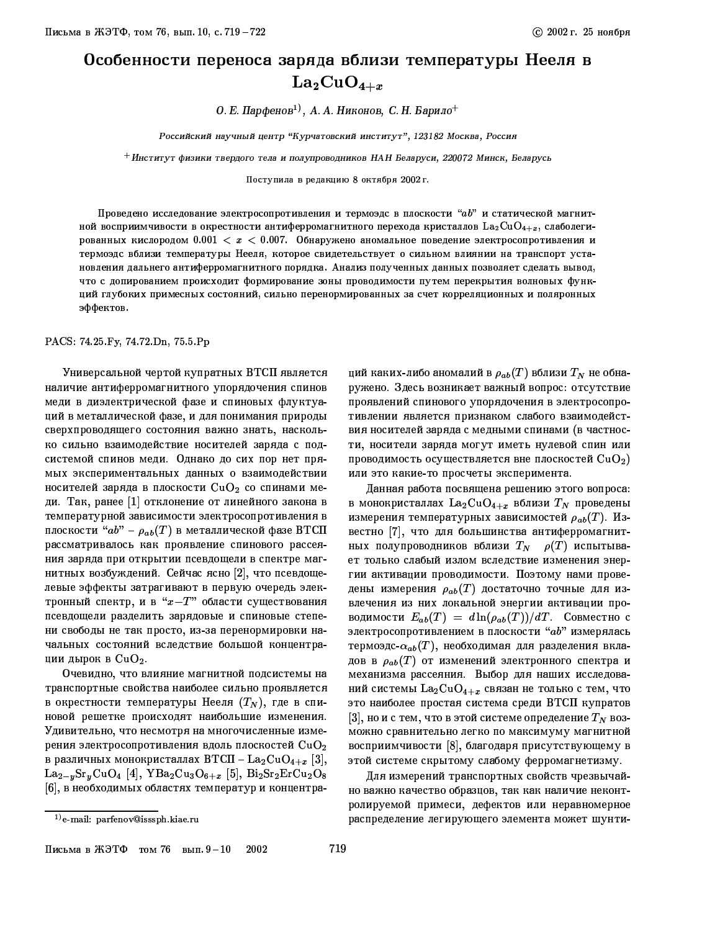## Особенности переноса заряда вблизи температуры Нееля в  $La_2CuO_{4+x}$

О. Е. Парфенов<sup>1)</sup>, А. А. Никонов, С. Н. Барило<sup>+</sup>

Российский научный центр "Курчатовский институт", 123182 Москва, Россия

 $^+$ Институт физики твердого тела и полупроводников НАН Беларуси, 220072 Минск, Беларусь

Поступила в редакцию 8 октября 2002 г.

Проведено исследование электросопротивления и термоэдс в плоскости "ab" и статической магнитной восприим чивости в окрестности антиферромагнитного перехода кристаллов  $\text{La}_2\text{CuO}_{4+x}$ , слаболегированных кислородом  $0.001 < x < 0.007$ . Обнаружено аномальное поведение электросопротивления и термоэдс вблизи температуры Нееля, которое свидетельствует о сильном влиянии на транспорт установления дальнего антиферромагнитного порядка. Анализ полученных данных позволяет сделать вывод, что с допированием происходит формирование зоны проводимости путем перекрытия волновых функций глубоких примесных состояний, сильно перенормированных за счет корреляционных и поляронных эффектов.

PACS: 74.25.Fy, 74.72.Dn, 75.5.Pp

Универсальной чертой купратных ВТСП является наличие антиферромагнитного упорядочения спинов меди в диэлектрической фазе и спиновых флуктуаций в металлической фазе, и для понимания природы сверхпроводящего состояния важно знать, насколько сильно взаимодействие носителей заряда с подсистемой спинов меди. Однако до сих пор нет прямых экспериментальных данных о взаимодействии носителей заряда в плоскости  $CuO<sub>2</sub>$  со спинами меди. Так, ранее [1] отклонение от линейного закона в температурной зависимости электросопротивления в плоскости " $ab$ " –  $\rho_{ab}(T)$  в металлической фазе ВТСП рассматривалось как проявление спинового рассеяния заряда при открытии псевдощели в спектре магнитных возбуждений. Сейчас ясно [2], что псевдощелевые эффекты затрагивают в первую очередь электронный спектр, и в " $x-T$ " области существования псевдощели разделить зарядовые и спиновые степени свободы не так просто, из-за перенормировки начальных состояний вследствие большой концентрации дырок в  $CuO<sub>2</sub>$ .

Очевидно, что влияние магнитной подсистемы на транспортные свойства наиболее сильно проявляется в окрестности температуры Нееля  $(T_N),$  где в спиновой решетке происходят наибольшие изменения. Удивительно, что несмотря на многочисленные измерения электросопротивления вдоль плоскостей  $\rm CuO_2$ в различных монокристаллах ВТСП –  $\text{La}_2\text{CuO}_{4+x}$  [3],  $La_{2-y}Sr_yCuO_4$  [4],  $YBa_2Cu_3O_{6+x}$  [5],  $Bi_2Sr_2ErCu_2O_8$ [6], в необходимых областях температур и концентра-

719

ций каких-либо аномалий в  $\rho_{ab}(T)$  вблизи  $T_N$  не обнаружено. Здесь возникает важный вопрос: отсутствие проявлений спинового упорядочения в электросопротивлении является признаком слабого взаимодействия носителей заряда с медными спинами (в частности, носители заряда могут иметь нулевой спин или проводимость осуществляется вне плоскостей  $CuO<sub>2</sub>$ ) или это какие-то просчеты эксперимента.

Данная работа посвящена решению этого вопроса: в монокристаллах  $\text{La}_2\text{CuO}_{4+x}$  вблизи  $T_N$  проведены измерения температурных зависимостей  $\rho_{ab}(T)$ . Известно [7], что для большинства антиферромагнитных полупроводников вблизи  $T_N$   $\rho(T)$  испытывает только слабый излом вследствие изменения энергии активации проводимости. Поэтому нами проведены измерения  $\rho_{ab}(T)$  достаточно точные для извлечения из них локальной энергии активации проводимости  $E_{ab}(T) = d\ln(\rho_{ab}(T))/dT$ . Совместно с электросопротивлением в плоскости "ab" измерялась термоэдс- $\alpha_{ab}(T),$  необходимая для разделения вкладов в  $\rho_{ab}(T)$  от изменений электронного спектра и механизма рассеяния. Выбор для наших исследований системы  $\text{La}_2\text{CuO}_{4+x}$  связан не только с тем, что это наиболее простая система среди ВТСП купратов  $[3]$ , но и с тем, что в этой системе определение  $T_N$  возможно сравнительно легко по максимуму магнитной восприимчивости [8], благодаря присутствующему в этой системе скрытому слабому ферромагнетизму.

Для измерений транспортных свойств чрезвычайно важно качество образцов, так как наличие неконтролируемой примеси, дефектов или неравномерное распределение легирующего элемента может шунти-

 $^{(1)}$ e-mail: parfenov@isssph.kiae.ru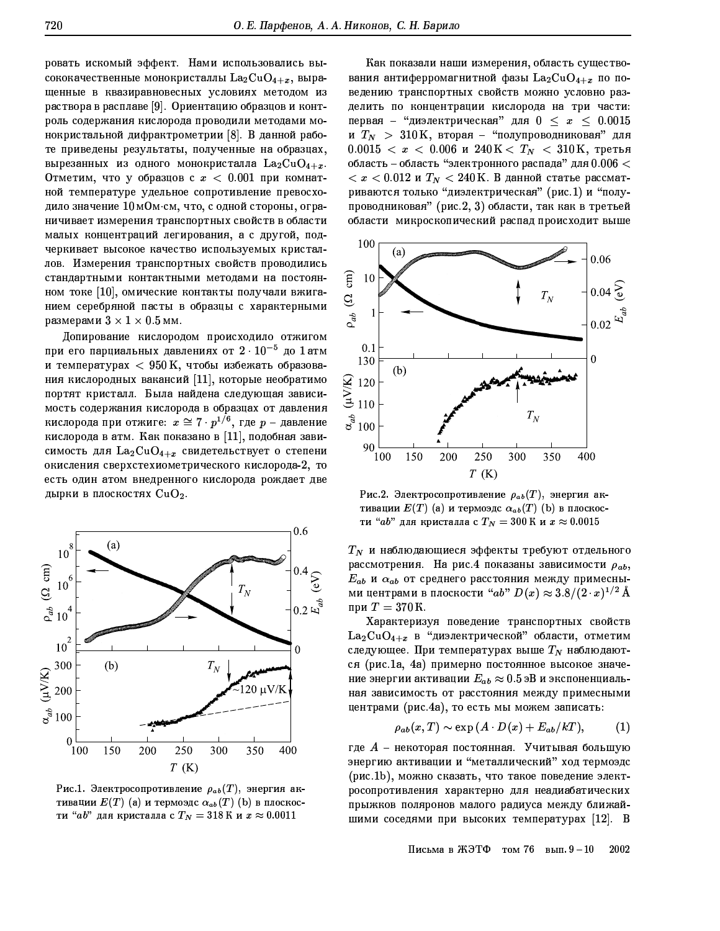ровать искомый эффект. Нами использовались высококачественные монокристаллы  $\text{La}_2\text{CuO}_{4+x}$ , выращенные в квазиравновесных условиях методом из раствора в расплаве [9]. Ориентацию образцов и контроль содержания кислорода проводили методами монокристальной дифрактрометрии [8]. В данной работе приведены результаты, полученные на образцах, вырезанных из одного монокристалла  $\rm La_2CuO_{4+x}.$ Отметим, что у образцов с  $x \ < \ 0.001$  при комнатной температуре удельное сопротивление превосходило значение 10 мОм·см, что, с одной стороны, ограничивает измерения транспортных свойств в области малых концентраций легирования, а с другой, подчеркивает высокое качество используемых кристаллов. Измерения транспортных свойств проводились стандартными контактными методами на постоянном токе  $[10]$ , омические контакты получали вжиганием серебряной пасты в образцы с характерными размерами  $3 \times 1 \times 0.5$  мм.

Допирование кислородом происходило отжигом при его парциальных давлениях от  $2 \cdot 10^{-5}$  до 1 атм и температурах < 950 K, чтобы избежать образования кислородных вакансий [11], которые необратимо портят кристалл. Была найдена следующая зависимость содержания кислорода в образцах от давления кислорода при отжиге:  $x \cong 7 \cdot p^{1/6},$  где  $p-$  давление кислорода в атм. Как показано в [11], подобная зависимость для  $\text{La}_2\text{CuO}_{4+x}$  свидетельствует о степени окисления сверхстехиометрического кислорода-2, то есть один атом внедренного кислорода рождает две дырки в плоскостях  $CuO<sub>2</sub>$ .



Рис.1. Электросопротивление  $\rho_{ab}(T)$ , энергия активации  $E(T)$  (а) и термоэдс  $\alpha_{ab}(T)$  (b) в плоскости "ab" для кристалла с  $T_N = 318$  К и  $x \approx 0.0011$ 

Как показали наши измерения, область существования антиферромагнитной фазы  $\rm La_2CuO_{4+x}$  по поведению транспортных свойств можно условно разделить по концентрации кислорода на три части: первая – "диэлектрическая" для  $0 \leq x \leq 0.0015$ и  $T_N$  > 310 K, вторая - "полупроводниковая" для  $0.0015 < x < 0.006$  и 240 K  $T_N < 310$  K, третья область - область "электронного распада" для  $0.006 <$  $< x < 0.012$  и  $T_N < 240$  К. В данной статье рассматриваются только "диэлектрическая" (рис.1) и "полупроводниковая" (рис.2, 3) области, так как в третьей области микроскопический распад происходит выше



Рис.2. Электросопротивление  $\rho_{ab}(T)$ , энергия активации  $E(T)$  (а) и термоэдс  $\alpha_{ab}(T)$  (b) в плоскости " $ab$ " для кристалла с  $T_N = 300$  К и  $x \approx 0.0015$ 

 $T_N$  и наблюдающиеся эффекты требуют отдельного рассмотрения. На рис.4 показаны зависимости  $\rho_{ab}$ ,  $E_{ab}$  и  $\alpha_{ab}$  от среднего расстояния между примесными центрами в плоскости "ab"  $D(x) \approx 3.8/(2 \cdot x)^{1/2}$  А при  $T = 370$  К.

Характеризуя поведение транспортных свойств  $\text{La}_2\text{CuO}_{4+x}$  в "диэлектрической" области, отметим следующее. При температурах выше  $T_N$  наблюдаются (рис.1а, 4а) примерно постоянное высокое значение энергии активации  $E_{ab} \approx 0.5$  э $\mathbf B$  и экспоненциальная зависимость от расстояния между примесными центрами (рис.4а), то есть мы можем записать:

$$
\rho_{ab}(x,T) \sim \exp\left(A \cdot D(x) + E_{ab}/kT\right),\tag{1}
$$

где  $A$  – некоторая постоянная. Учитывая большую энергию активации и "металлический" ход термоэдс (рис.1b), можно сказать, что такое поведение электросопротивления характерно для неадиабатических прыжков поляронов малого радиуса между ближайшими соседями при высоких температурах [12]. В

> Письма в ЖЭТФ том 76 вып.  $9-10$ 2002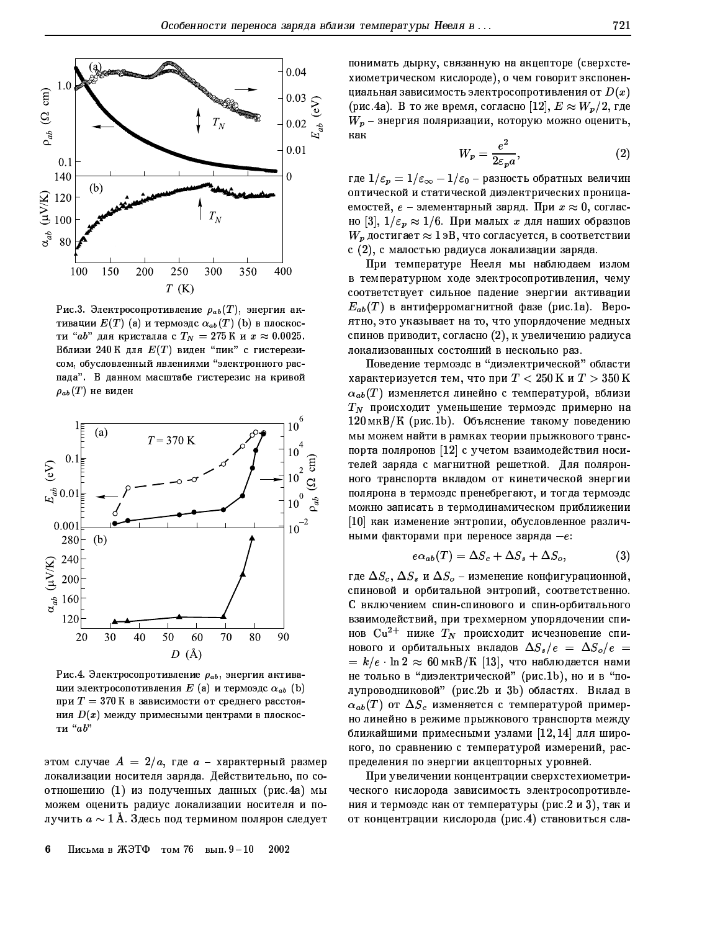

Рис.3. Электросопротивление  $\rho_{ab}(T)$ , энергия активации  $E(T)$  (а) и термоэдс  $\alpha_{ab}(T)$  (b) в плоскости "ab" для кристалла с  $T_N = 275$  К и  $x \approx 0.0025$ . Вблизи 240 К для  $E(T)$  виден "пик" с гистерезисом, обусловленный явлениями "электронного распада". В данном масштабе гистерезис на кривой  $\rho_{ab}(T)$  не виден



Рис. 4. Электросопротивление  $\rho_{ab}$ , энергия активации электросопотивления  $E$  (a) и термоэдс  $\alpha_{ab}$  (b) при  $T = 370$  К в зависимости от среднего расстояния  $D(x)$  между примесными центрами в плоскости "ав"

этом случае  $A = 2/a$ , где  $a$  - характерный размер локализации носителя заряда. Действительно, по соотношению (1) из полученных данных (рис. 4a) мы можем оценить радиус локализации носителя и получить  $a \sim 1$  А. Здесь под термином полярон следует

6 Письма в ЖЭТФ том 76 вып.  $9-10$ 2002 понимать дырку, связанную на акцепторе (сверхстехиометрическом кислороде), о чем говорит экспоненциальная зависимость электросопротивления от  $D(x)$ (рис. 4a). В то же время, согласно [12],  $E \approx W_p/2$ , где  $W_p$  – энергия поляризации, которую можно оценить, как

$$
W_p = \frac{e^2}{2\varepsilon_p a},\tag{2}
$$

где  $1/\varepsilon_p = 1/\varepsilon_{\infty} - 1/\varepsilon_0$  – разность обратных величин оптической и статической диэлектрических проницаемостей,  $e$  – элементарный заряд. При  $x \approx 0$ , согласно [3],  $1/\varepsilon_p \approx 1/6$ . При малых  $x$  для наших образцов  $W_p$  достигает  $\approx 1$  э $\mathrm{B},$  что согласуется, в соответствии с (2), с малостью радиуса локализации заряда.

При температуре Нееля мы наблюдаем излом в температурном ходе электросопротивления, чему соответствует сильное падение энергии активации  $E_{ab}(T)$  в антиферромагнитной фазе (рис.1а). Вероятно, это указывает на то, что упорядочение медных спинов приводит, согласно (2), к увеличению радиуса локализованных состояний в несколько раз.

Поведение термоэдс в "диэлектрической" области характеризуется тем, что при  $T < 250\,\rm K$  и  $T > 350\,\rm K$  $\alpha_{ab}(T)$  изменяется линейно с температурой, вблизи  $T_N$  происходит уменьшение термоэдс примерно на 120 мкВ/К (рис.1b). Объяснение такому поведению мы можем найти в рамках теории прыжкового транспорта поляронов [12] с учетом взаимодействия носителей заряда с магнитной решеткой. Для поляронного транспорта вкладом от кинетической энергии полярона в термоэдс пренебрегают, и тогда термоэдс можно записать в термодинамическом приближении [10] как изменение энтропии, обусловленное различными факторами при переносе заряда -е:

 $\epsilon$ 

$$
\alpha_{ab}(T) = \Delta S_c + \Delta S_s + \Delta S_o, \tag{3}
$$

где  $\Delta S_c$ ,  $\Delta S_s$  и  $\Delta S_o$  – изменение конфигурационной, спиновой и орбитальной энтропий, соответственно. С включением спин-спинового и спин-орбитального взаимодействий, при трехмерном упорядочении спинов  $Cu^{2+}$  ниже  $T_N$  происходит исчезновение спинового и орбитальных вкладов  $\Delta S_s/e~=~\Delta S_o/e~=$  $k = k/e \cdot \ln 2 \approx 60$  мкВ/К [13], что наблюдается нами не только в "диэлектрической" (рис.1b), но и в "полупроводниковой" (рис.2b и 3b) областях. Вклад в  $\alpha_{ab}(T)$  от  $\Delta S_c$  изменяется с температурой примерно линейно в режиме прыжкового транспорта между ближайшими примесными узлами [12,14] для широкого, по сравнению с температурой измерений, распределения по энергии акцепторных уровней.

При увеличении концентрации сверхстехиометрического кислорода зависимость электросопротивления и термоэдс как от температуры (рис.2 и 3), так и от концентрации кислорода (рис.4) становиться сла